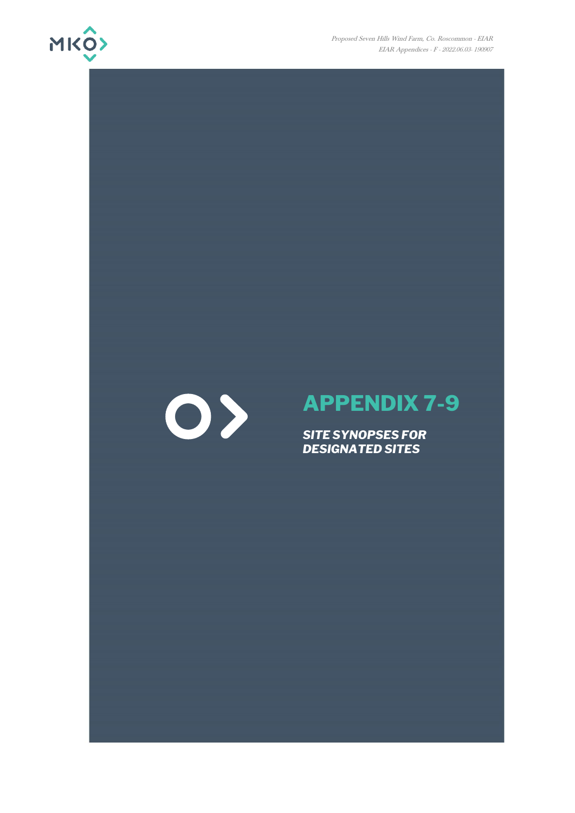

Proposed Seven Hills Wind Farm, Co. Roscommon - EIAR EIAR Appendices - F - 2022.06.03- 190907



# **APPENDIX 7-9**

*SITE SYNOPSES FOR DESIGNATED SITES*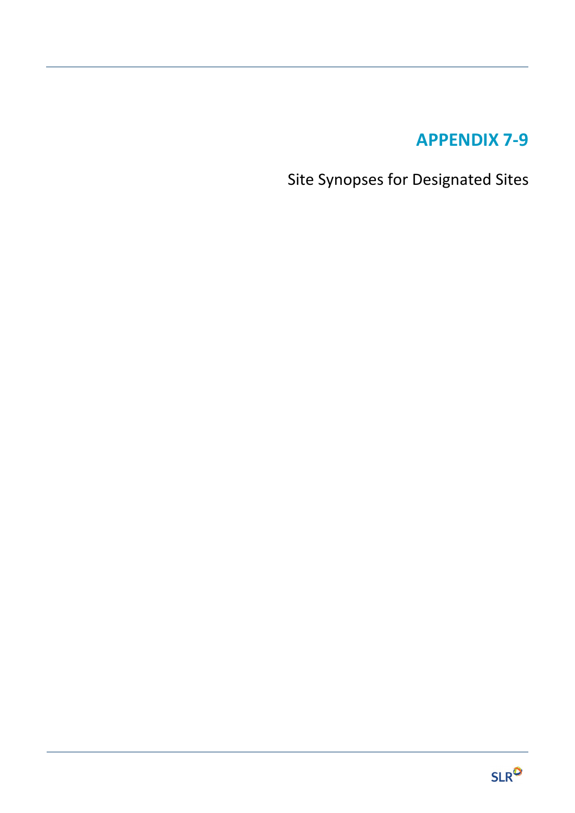# **APPENDIX 7-9**

Site Synopses for Designated Sites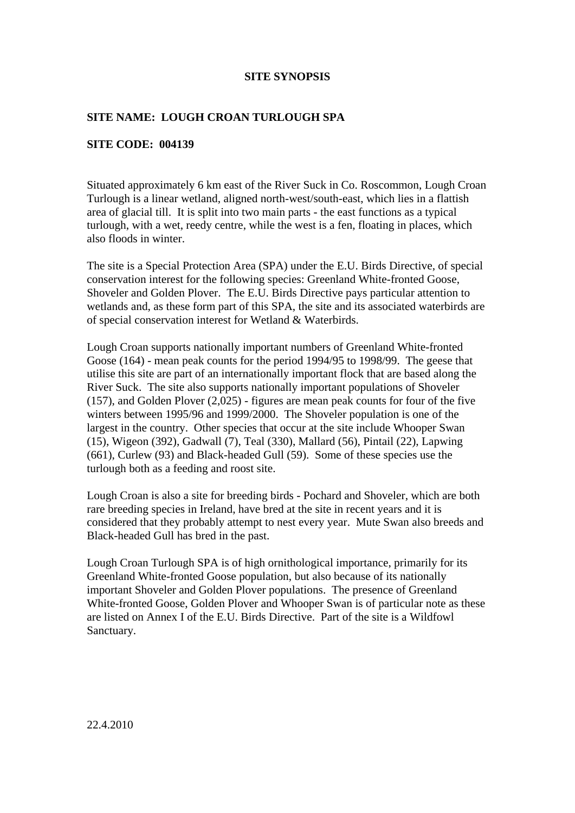# **SITE NAME: LOUGH CROAN TURLOUGH SPA**

#### **SITE CODE: 004139**

Situated approximately 6 km east of the River Suck in Co. Roscommon, Lough Croan Turlough is a linear wetland, aligned north-west/south-east, which lies in a flattish area of glacial till. It is split into two main parts - the east functions as a typical turlough, with a wet, reedy centre, while the west is a fen, floating in places, which also floods in winter.

The site is a Special Protection Area (SPA) under the E.U. Birds Directive, of special conservation interest for the following species: Greenland White-fronted Goose, Shoveler and Golden Plover. The E.U. Birds Directive pays particular attention to wetlands and, as these form part of this SPA, the site and its associated waterbirds are of special conservation interest for Wetland & Waterbirds.

Lough Croan supports nationally important numbers of Greenland White-fronted Goose (164) - mean peak counts for the period 1994/95 to 1998/99. The geese that utilise this site are part of an internationally important flock that are based along the River Suck. The site also supports nationally important populations of Shoveler (157), and Golden Plover (2,025) - figures are mean peak counts for four of the five winters between 1995/96 and 1999/2000. The Shoveler population is one of the largest in the country. Other species that occur at the site include Whooper Swan (15), Wigeon (392), Gadwall (7), Teal (330), Mallard (56), Pintail (22), Lapwing (661), Curlew (93) and Black-headed Gull (59). Some of these species use the turlough both as a feeding and roost site.

Lough Croan is also a site for breeding birds - Pochard and Shoveler, which are both rare breeding species in Ireland, have bred at the site in recent years and it is considered that they probably attempt to nest every year. Mute Swan also breeds and Black-headed Gull has bred in the past.

Lough Croan Turlough SPA is of high ornithological importance, primarily for its Greenland White-fronted Goose population, but also because of its nationally important Shoveler and Golden Plover populations. The presence of Greenland White-fronted Goose, Golden Plover and Whooper Swan is of particular note as these are listed on Annex I of the E.U. Birds Directive. Part of the site is a Wildfowl Sanctuary.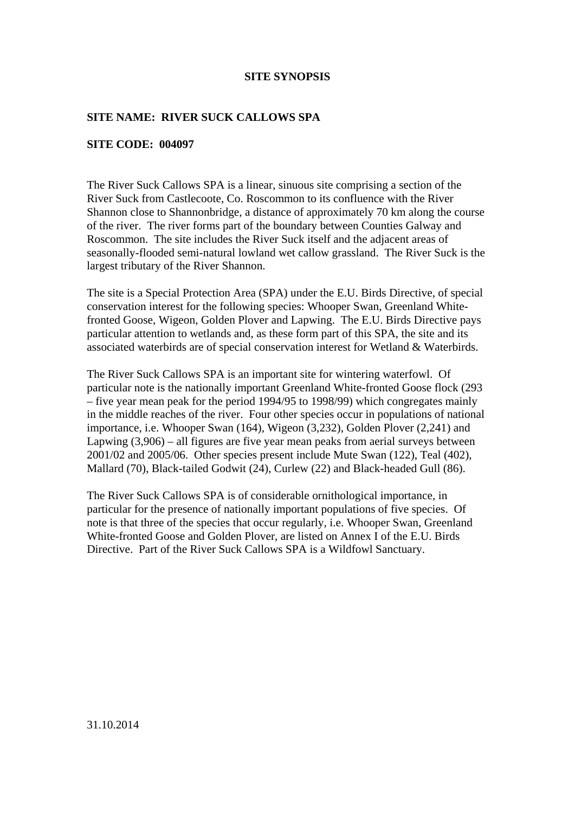# **SITE NAME: RIVER SUCK CALLOWS SPA**

#### **SITE CODE: 004097**

The River Suck Callows SPA is a linear, sinuous site comprising a section of the River Suck from Castlecoote, Co. Roscommon to its confluence with the River Shannon close to Shannonbridge, a distance of approximately 70 km along the course of the river. The river forms part of the boundary between Counties Galway and Roscommon. The site includes the River Suck itself and the adjacent areas of seasonally-flooded semi-natural lowland wet callow grassland. The River Suck is the largest tributary of the River Shannon.

The site is a Special Protection Area (SPA) under the E.U. Birds Directive, of special conservation interest for the following species: Whooper Swan, Greenland Whitefronted Goose, Wigeon, Golden Plover and Lapwing. The E.U. Birds Directive pays particular attention to wetlands and, as these form part of this SPA, the site and its associated waterbirds are of special conservation interest for Wetland & Waterbirds.

The River Suck Callows SPA is an important site for wintering waterfowl. Of particular note is the nationally important Greenland White-fronted Goose flock (293 – five year mean peak for the period 1994/95 to 1998/99) which congregates mainly in the middle reaches of the river. Four other species occur in populations of national importance, i.e. Whooper Swan (164), Wigeon (3,232), Golden Plover (2,241) and Lapwing  $(3,906)$  – all figures are five year mean peaks from aerial surveys between 2001/02 and 2005/06. Other species present include Mute Swan (122), Teal (402), Mallard (70), Black-tailed Godwit (24), Curlew (22) and Black-headed Gull (86).

The River Suck Callows SPA is of considerable ornithological importance, in particular for the presence of nationally important populations of five species. Of note is that three of the species that occur regularly, i.e. Whooper Swan, Greenland White-fronted Goose and Golden Plover, are listed on Annex I of the E.U. Birds Directive. Part of the River Suck Callows SPA is a Wildfowl Sanctuary.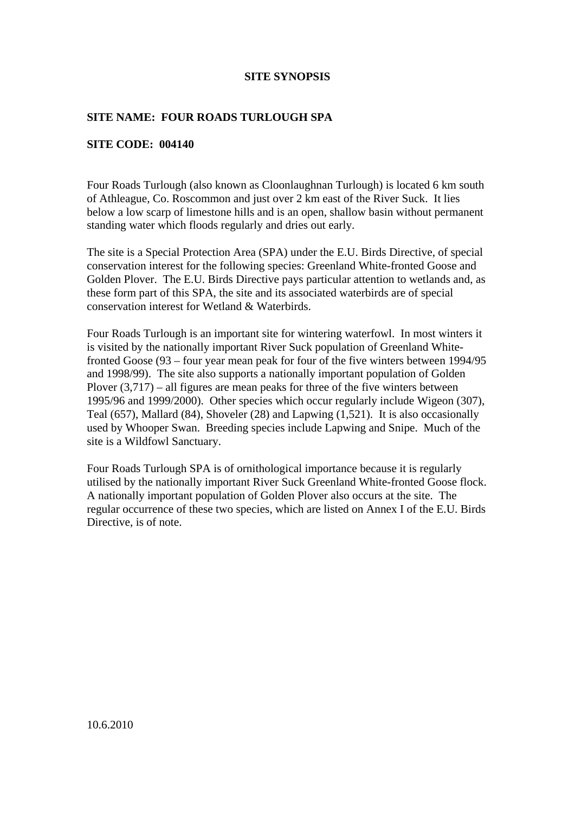## **SITE NAME: FOUR ROADS TURLOUGH SPA**

#### **SITE CODE: 004140**

Four Roads Turlough (also known as Cloonlaughnan Turlough) is located 6 km south of Athleague, Co. Roscommon and just over 2 km east of the River Suck. It lies below a low scarp of limestone hills and is an open, shallow basin without permanent standing water which floods regularly and dries out early.

The site is a Special Protection Area (SPA) under the E.U. Birds Directive, of special conservation interest for the following species: Greenland White-fronted Goose and Golden Plover. The E.U. Birds Directive pays particular attention to wetlands and, as these form part of this SPA, the site and its associated waterbirds are of special conservation interest for Wetland & Waterbirds.

Four Roads Turlough is an important site for wintering waterfowl. In most winters it is visited by the nationally important River Suck population of Greenland Whitefronted Goose (93 – four year mean peak for four of the five winters between 1994/95 and 1998/99). The site also supports a nationally important population of Golden Plover  $(3,717)$  – all figures are mean peaks for three of the five winters between 1995/96 and 1999/2000). Other species which occur regularly include Wigeon (307), Teal (657), Mallard (84), Shoveler (28) and Lapwing (1,521). It is also occasionally used by Whooper Swan. Breeding species include Lapwing and Snipe. Much of the site is a Wildfowl Sanctuary.

Four Roads Turlough SPA is of ornithological importance because it is regularly utilised by the nationally important River Suck Greenland White-fronted Goose flock. A nationally important population of Golden Plover also occurs at the site. The regular occurrence of these two species, which are listed on Annex I of the E.U. Birds Directive, is of note.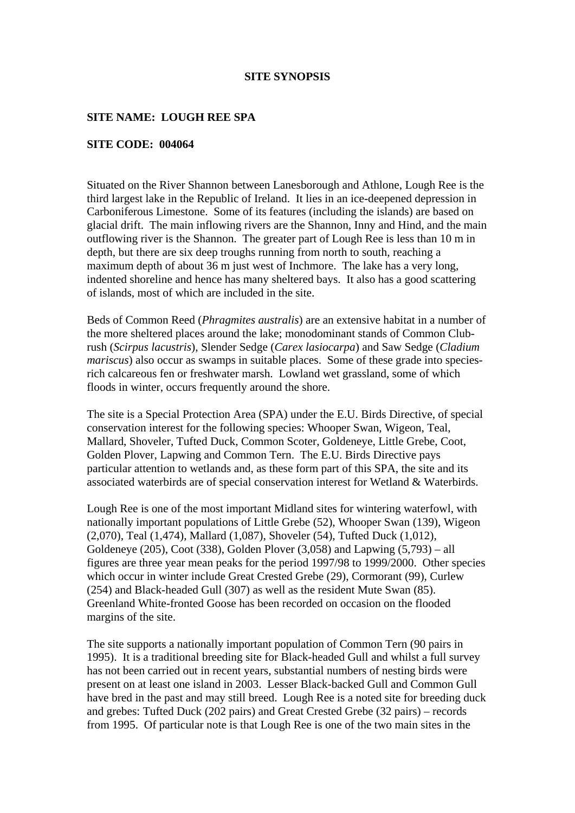#### **SITE NAME: LOUGH REE SPA**

#### **SITE CODE: 004064**

Situated on the River Shannon between Lanesborough and Athlone, Lough Ree is the third largest lake in the Republic of Ireland. It lies in an ice-deepened depression in Carboniferous Limestone. Some of its features (including the islands) are based on glacial drift. The main inflowing rivers are the Shannon, Inny and Hind, and the main outflowing river is the Shannon. The greater part of Lough Ree is less than 10 m in depth, but there are six deep troughs running from north to south, reaching a maximum depth of about 36 m just west of Inchmore. The lake has a very long, indented shoreline and hence has many sheltered bays. It also has a good scattering of islands, most of which are included in the site.

Beds of Common Reed (*Phragmites australis*) are an extensive habitat in a number of the more sheltered places around the lake; monodominant stands of Common Clubrush (*Scirpus lacustris*), Slender Sedge (*Carex lasiocarpa*) and Saw Sedge (*Cladium mariscus*) also occur as swamps in suitable places. Some of these grade into speciesrich calcareous fen or freshwater marsh. Lowland wet grassland, some of which floods in winter, occurs frequently around the shore.

The site is a Special Protection Area (SPA) under the E.U. Birds Directive, of special conservation interest for the following species: Whooper Swan, Wigeon, Teal, Mallard, Shoveler, Tufted Duck, Common Scoter, Goldeneye, Little Grebe, Coot, Golden Plover, Lapwing and Common Tern. The E.U. Birds Directive pays particular attention to wetlands and, as these form part of this SPA, the site and its associated waterbirds are of special conservation interest for Wetland & Waterbirds.

Lough Ree is one of the most important Midland sites for wintering waterfowl, with nationally important populations of Little Grebe (52), Whooper Swan (139), Wigeon (2,070), Teal (1,474), Mallard (1,087), Shoveler (54), Tufted Duck (1,012), Goldeneye (205), Coot (338), Golden Plover (3,058) and Lapwing (5,793) – all figures are three year mean peaks for the period 1997/98 to 1999/2000. Other species which occur in winter include Great Crested Grebe (29), Cormorant (99), Curlew (254) and Black-headed Gull (307) as well as the resident Mute Swan (85). Greenland White-fronted Goose has been recorded on occasion on the flooded margins of the site.

The site supports a nationally important population of Common Tern (90 pairs in 1995). It is a traditional breeding site for Black-headed Gull and whilst a full survey has not been carried out in recent years, substantial numbers of nesting birds were present on at least one island in 2003. Lesser Black-backed Gull and Common Gull have bred in the past and may still breed. Lough Ree is a noted site for breeding duck and grebes: Tufted Duck (202 pairs) and Great Crested Grebe (32 pairs) – records from 1995. Of particular note is that Lough Ree is one of the two main sites in the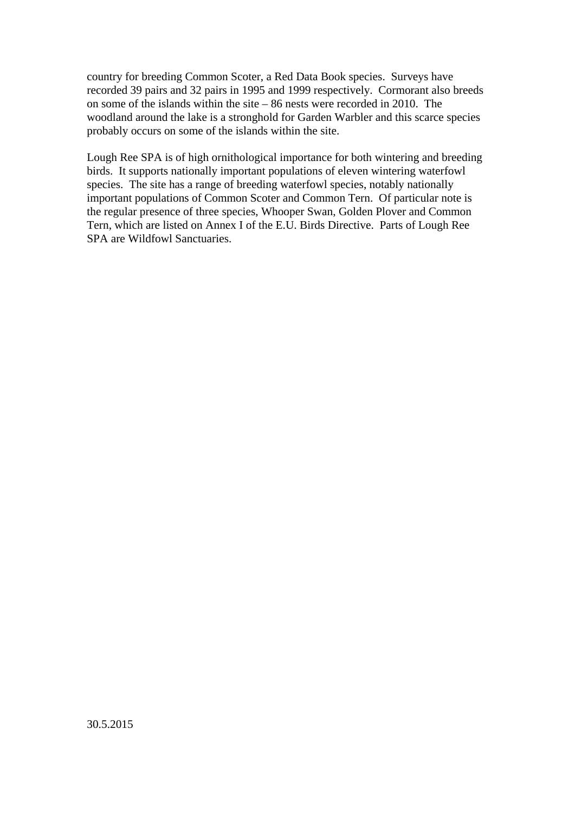country for breeding Common Scoter, a Red Data Book species. Surveys have recorded 39 pairs and 32 pairs in 1995 and 1999 respectively. Cormorant also breeds on some of the islands within the site – 86 nests were recorded in 2010. The woodland around the lake is a stronghold for Garden Warbler and this scarce species probably occurs on some of the islands within the site.

Lough Ree SPA is of high ornithological importance for both wintering and breeding birds. It supports nationally important populations of eleven wintering waterfowl species. The site has a range of breeding waterfowl species, notably nationally important populations of Common Scoter and Common Tern. Of particular note is the regular presence of three species, Whooper Swan, Golden Plover and Common Tern, which are listed on Annex I of the E.U. Birds Directive. Parts of Lough Ree SPA are Wildfowl Sanctuaries.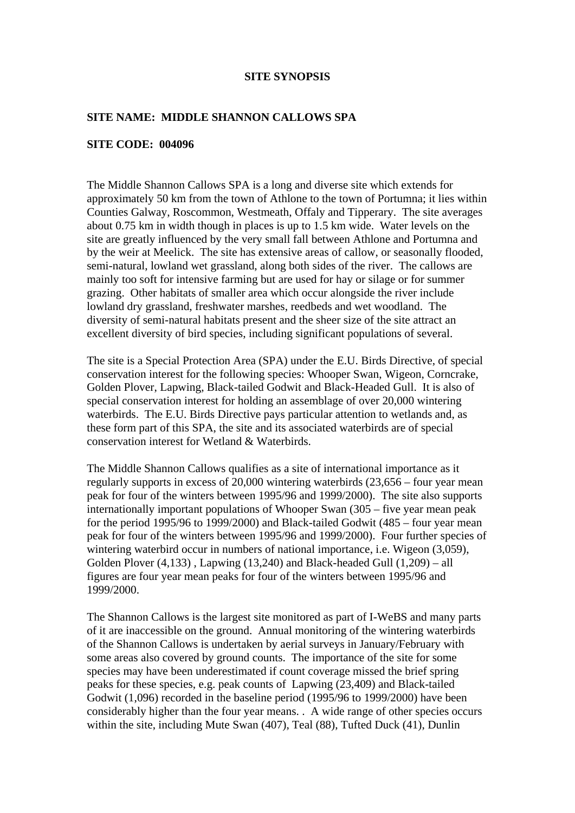#### **SITE NAME: MIDDLE SHANNON CALLOWS SPA**

#### **SITE CODE: 004096**

The Middle Shannon Callows SPA is a long and diverse site which extends for approximately 50 km from the town of Athlone to the town of Portumna; it lies within Counties Galway, Roscommon, Westmeath, Offaly and Tipperary. The site averages about 0.75 km in width though in places is up to 1.5 km wide. Water levels on the site are greatly influenced by the very small fall between Athlone and Portumna and by the weir at Meelick. The site has extensive areas of callow, or seasonally flooded, semi-natural, lowland wet grassland, along both sides of the river. The callows are mainly too soft for intensive farming but are used for hay or silage or for summer grazing. Other habitats of smaller area which occur alongside the river include lowland dry grassland, freshwater marshes, reedbeds and wet woodland. The diversity of semi-natural habitats present and the sheer size of the site attract an excellent diversity of bird species, including significant populations of several.

The site is a Special Protection Area (SPA) under the E.U. Birds Directive, of special conservation interest for the following species: Whooper Swan, Wigeon, Corncrake, Golden Plover, Lapwing, Black-tailed Godwit and Black-Headed Gull. It is also of special conservation interest for holding an assemblage of over 20,000 wintering waterbirds. The E.U. Birds Directive pays particular attention to wetlands and, as these form part of this SPA, the site and its associated waterbirds are of special conservation interest for Wetland & Waterbirds.

The Middle Shannon Callows qualifies as a site of international importance as it regularly supports in excess of 20,000 wintering waterbirds (23,656 – four year mean peak for four of the winters between 1995/96 and 1999/2000). The site also supports internationally important populations of Whooper Swan (305 – five year mean peak for the period 1995/96 to 1999/2000) and Black-tailed Godwit (485 – four year mean peak for four of the winters between 1995/96 and 1999/2000). Four further species of wintering waterbird occur in numbers of national importance, i.e. Wigeon (3,059), Golden Plover (4,133) , Lapwing (13,240) and Black-headed Gull (1,209) – all figures are four year mean peaks for four of the winters between 1995/96 and 1999/2000.

The Shannon Callows is the largest site monitored as part of I-WeBS and many parts of it are inaccessible on the ground. Annual monitoring of the wintering waterbirds of the Shannon Callows is undertaken by aerial surveys in January/February with some areas also covered by ground counts. The importance of the site for some species may have been underestimated if count coverage missed the brief spring peaks for these species, e.g. peak counts of Lapwing (23,409) and Black-tailed Godwit (1,096) recorded in the baseline period (1995/96 to 1999/2000) have been considerably higher than the four year means. . A wide range of other species occurs within the site, including Mute Swan (407), Teal (88), Tufted Duck (41), Dunlin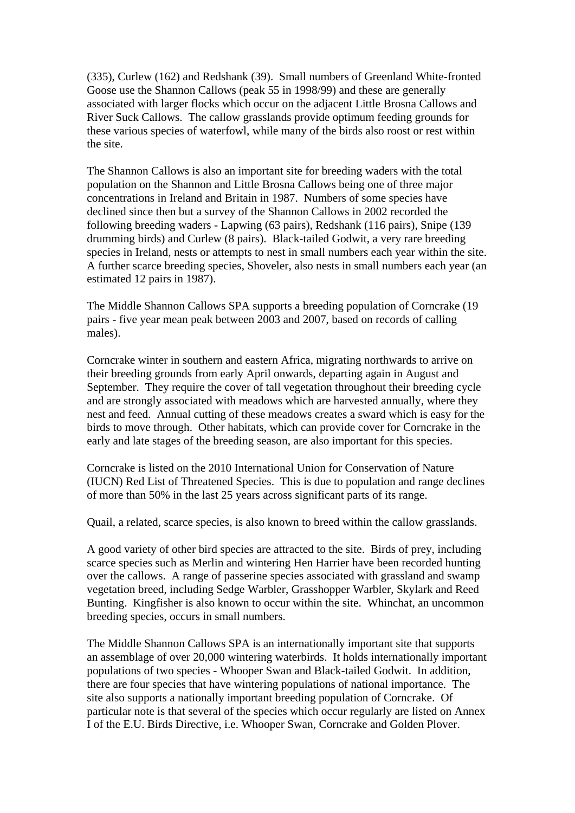(335), Curlew (162) and Redshank (39). Small numbers of Greenland White-fronted Goose use the Shannon Callows (peak 55 in 1998/99) and these are generally associated with larger flocks which occur on the adjacent Little Brosna Callows and River Suck Callows. The callow grasslands provide optimum feeding grounds for these various species of waterfowl, while many of the birds also roost or rest within the site.

The Shannon Callows is also an important site for breeding waders with the total population on the Shannon and Little Brosna Callows being one of three major concentrations in Ireland and Britain in 1987. Numbers of some species have declined since then but a survey of the Shannon Callows in 2002 recorded the following breeding waders - Lapwing (63 pairs), Redshank (116 pairs), Snipe (139 drumming birds) and Curlew (8 pairs). Black-tailed Godwit, a very rare breeding species in Ireland, nests or attempts to nest in small numbers each year within the site. A further scarce breeding species, Shoveler, also nests in small numbers each year (an estimated 12 pairs in 1987).

The Middle Shannon Callows SPA supports a breeding population of Corncrake (19 pairs - five year mean peak between 2003 and 2007, based on records of calling males).

Corncrake winter in southern and eastern Africa, migrating northwards to arrive on their breeding grounds from early April onwards, departing again in August and September. They require the cover of tall vegetation throughout their breeding cycle and are strongly associated with meadows which are harvested annually, where they nest and feed. Annual cutting of these meadows creates a sward which is easy for the birds to move through. Other habitats, which can provide cover for Corncrake in the early and late stages of the breeding season, are also important for this species.

Corncrake is listed on the 2010 International Union for Conservation of Nature (IUCN) Red List of Threatened Species. This is due to population and range declines of more than 50% in the last 25 years across significant parts of its range.

Quail, a related, scarce species, is also known to breed within the callow grasslands.

A good variety of other bird species are attracted to the site. Birds of prey, including scarce species such as Merlin and wintering Hen Harrier have been recorded hunting over the callows. A range of passerine species associated with grassland and swamp vegetation breed, including Sedge Warbler, Grasshopper Warbler, Skylark and Reed Bunting. Kingfisher is also known to occur within the site. Whinchat, an uncommon breeding species, occurs in small numbers.

The Middle Shannon Callows SPA is an internationally important site that supports an assemblage of over 20,000 wintering waterbirds. It holds internationally important populations of two species - Whooper Swan and Black-tailed Godwit. In addition, there are four species that have wintering populations of national importance. The site also supports a nationally important breeding population of Corncrake. Of particular note is that several of the species which occur regularly are listed on Annex I of the E.U. Birds Directive, i.e. Whooper Swan, Corncrake and Golden Plover.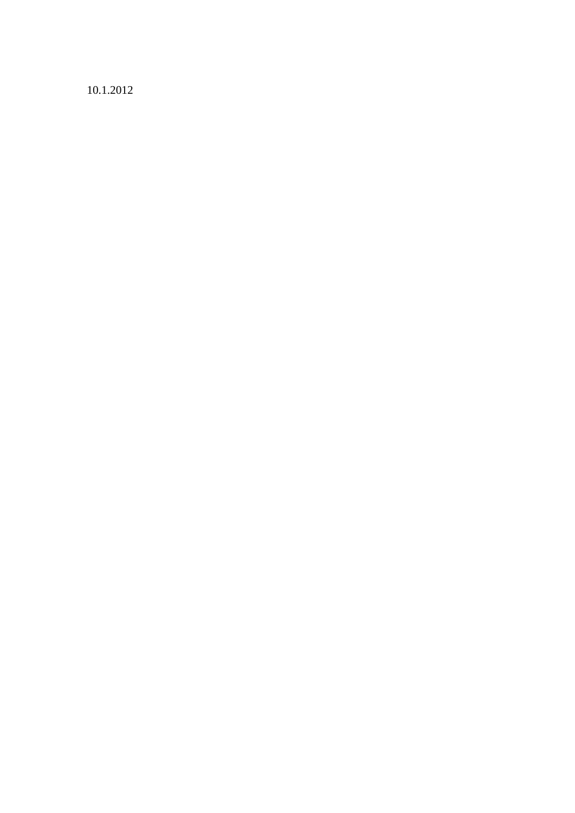10.1.2012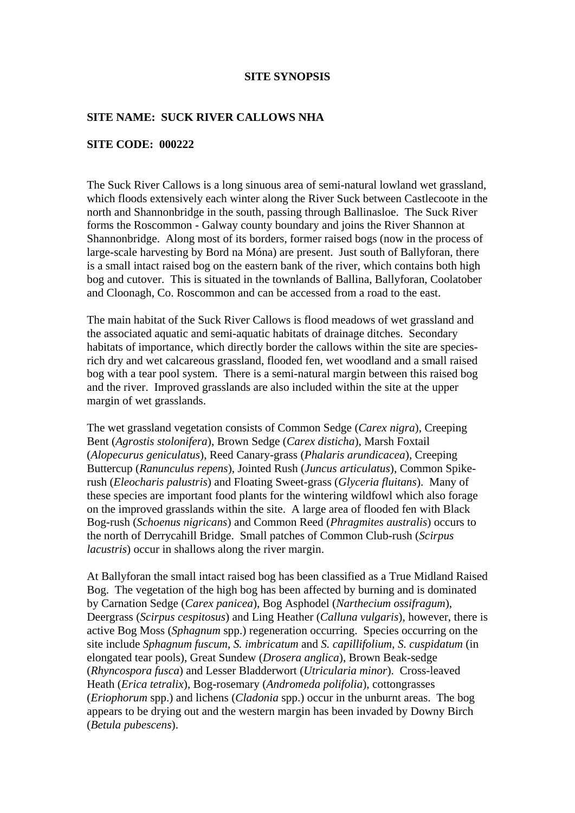#### **SITE NAME: SUCK RIVER CALLOWS NHA**

#### **SITE CODE: 000222**

The Suck River Callows is a long sinuous area of semi-natural lowland wet grassland, which floods extensively each winter along the River Suck between Castlecoote in the north and Shannonbridge in the south, passing through Ballinasloe. The Suck River forms the Roscommon - Galway county boundary and joins the River Shannon at Shannonbridge. Along most of its borders, former raised bogs (now in the process of large-scale harvesting by Bord na Móna) are present. Just south of Ballyforan, there is a small intact raised bog on the eastern bank of the river, which contains both high bog and cutover. This is situated in the townlands of Ballina, Ballyforan, Coolatober and Cloonagh, Co. Roscommon and can be accessed from a road to the east.

The main habitat of the Suck River Callows is flood meadows of wet grassland and the associated aquatic and semi-aquatic habitats of drainage ditches. Secondary habitats of importance, which directly border the callows within the site are speciesrich dry and wet calcareous grassland, flooded fen, wet woodland and a small raised bog with a tear pool system. There is a semi-natural margin between this raised bog and the river. Improved grasslands are also included within the site at the upper margin of wet grasslands.

The wet grassland vegetation consists of Common Sedge (*Carex nigra*), Creeping Bent (*Agrostis stolonifera*), Brown Sedge (*Carex disticha*), Marsh Foxtail (*Alopecurus geniculatus*), Reed Canary-grass (*Phalaris arundicacea*), Creeping Buttercup (*Ranunculus repens*), Jointed Rush (*Juncus articulatus*), Common Spikerush (*Eleocharis palustris*) and Floating Sweet-grass (*Glyceria fluitans*). Many of these species are important food plants for the wintering wildfowl which also forage on the improved grasslands within the site. A large area of flooded fen with Black Bog-rush (*Schoenus nigricans*) and Common Reed (*Phragmites australis*) occurs to the north of Derrycahill Bridge. Small patches of Common Club-rush (*Scirpus lacustris*) occur in shallows along the river margin.

At Ballyforan the small intact raised bog has been classified as a True Midland Raised Bog. The vegetation of the high bog has been affected by burning and is dominated by Carnation Sedge (*Carex panicea*), Bog Asphodel (*Narthecium ossifragum*), Deergrass (*Scirpus cespitosus*) and Ling Heather (*Calluna vulgaris*), however, there is active Bog Moss (*Sphagnum* spp.) regeneration occurring. Species occurring on the site include *Sphagnum fuscum*, *S. imbricatum* and *S. capillifolium*, *S. cuspidatum* (in elongated tear pools), Great Sundew (*Drosera anglica*), Brown Beak-sedge (*Rhyncospora fusca*) and Lesser Bladderwort (*Utricularia minor*). Cross-leaved Heath (*Erica tetralix*), Bog-rosemary (*Andromeda polifolia*), cottongrasses (*Eriophorum* spp.) and lichens (*Cladonia* spp.) occur in the unburnt areas. The bog appears to be drying out and the western margin has been invaded by Downy Birch (*Betula pubescens*).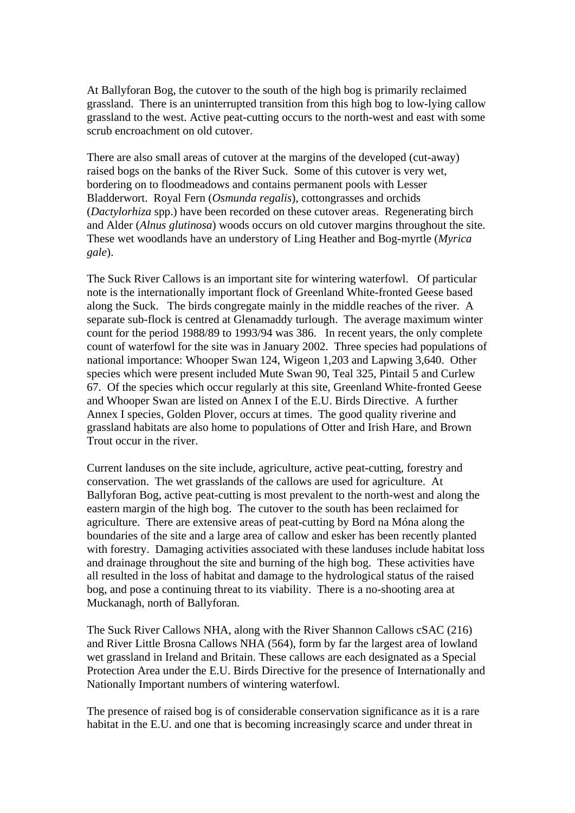At Ballyforan Bog, the cutover to the south of the high bog is primarily reclaimed grassland. There is an uninterrupted transition from this high bog to low-lying callow grassland to the west. Active peat-cutting occurs to the north-west and east with some scrub encroachment on old cutover.

There are also small areas of cutover at the margins of the developed (cut-away) raised bogs on the banks of the River Suck. Some of this cutover is very wet, bordering on to floodmeadows and contains permanent pools with Lesser Bladderwort. Royal Fern (*Osmunda regalis*), cottongrasses and orchids (*Dactylorhiza* spp.) have been recorded on these cutover areas. Regenerating birch and Alder (*Alnus glutinosa*) woods occurs on old cutover margins throughout the site. These wet woodlands have an understory of Ling Heather and Bog-myrtle (*Myrica gale*).

The Suck River Callows is an important site for wintering waterfowl. Of particular note is the internationally important flock of Greenland White-fronted Geese based along the Suck. The birds congregate mainly in the middle reaches of the river. A separate sub-flock is centred at Glenamaddy turlough. The average maximum winter count for the period 1988/89 to 1993/94 was 386. In recent years, the only complete count of waterfowl for the site was in January 2002. Three species had populations of national importance: Whooper Swan 124, Wigeon 1,203 and Lapwing 3,640. Other species which were present included Mute Swan 90, Teal 325, Pintail 5 and Curlew 67. Of the species which occur regularly at this site, Greenland White-fronted Geese and Whooper Swan are listed on Annex I of the E.U. Birds Directive. A further Annex I species, Golden Plover, occurs at times. The good quality riverine and grassland habitats are also home to populations of Otter and Irish Hare, and Brown Trout occur in the river.

Current landuses on the site include, agriculture, active peat-cutting, forestry and conservation. The wet grasslands of the callows are used for agriculture. At Ballyforan Bog, active peat-cutting is most prevalent to the north-west and along the eastern margin of the high bog. The cutover to the south has been reclaimed for agriculture. There are extensive areas of peat-cutting by Bord na Móna along the boundaries of the site and a large area of callow and esker has been recently planted with forestry. Damaging activities associated with these landuses include habitat loss and drainage throughout the site and burning of the high bog. These activities have all resulted in the loss of habitat and damage to the hydrological status of the raised bog, and pose a continuing threat to its viability. There is a no-shooting area at Muckanagh, north of Ballyforan.

The Suck River Callows NHA, along with the River Shannon Callows cSAC (216) and River Little Brosna Callows NHA (564), form by far the largest area of lowland wet grassland in Ireland and Britain. These callows are each designated as a Special Protection Area under the E.U. Birds Directive for the presence of Internationally and Nationally Important numbers of wintering waterfowl.

The presence of raised bog is of considerable conservation significance as it is a rare habitat in the E.U. and one that is becoming increasingly scarce and under threat in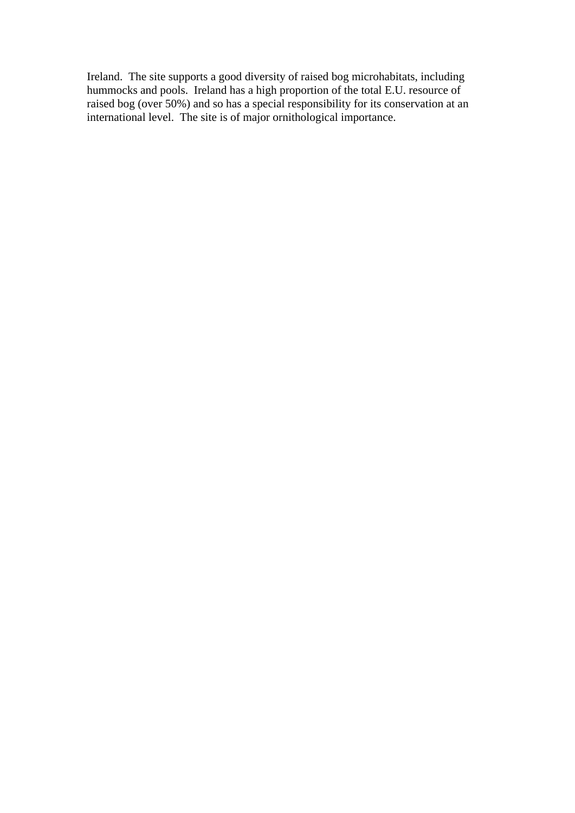Ireland. The site supports a good diversity of raised bog microhabitats, including hummocks and pools. Ireland has a high proportion of the total E.U. resource of raised bog (over 50%) and so has a special responsibility for its conservation at an international level. The site is of major ornithological importance.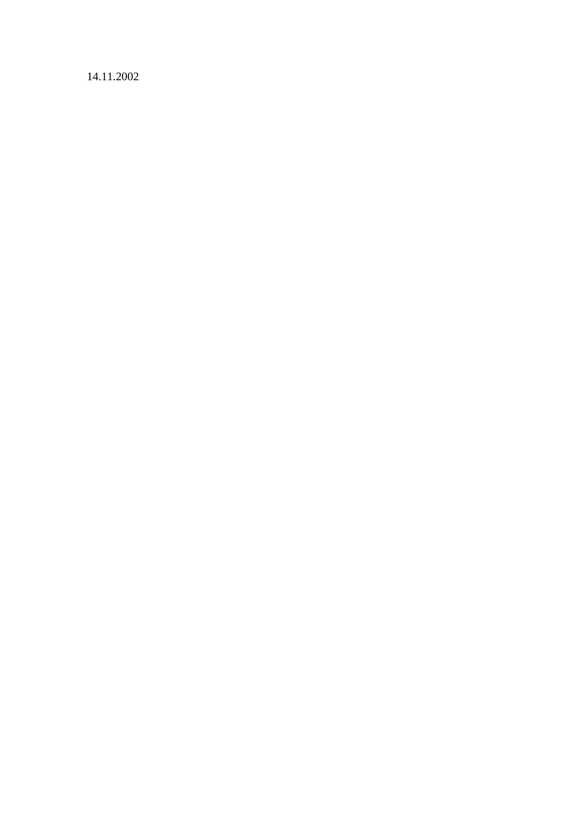14.11.2002